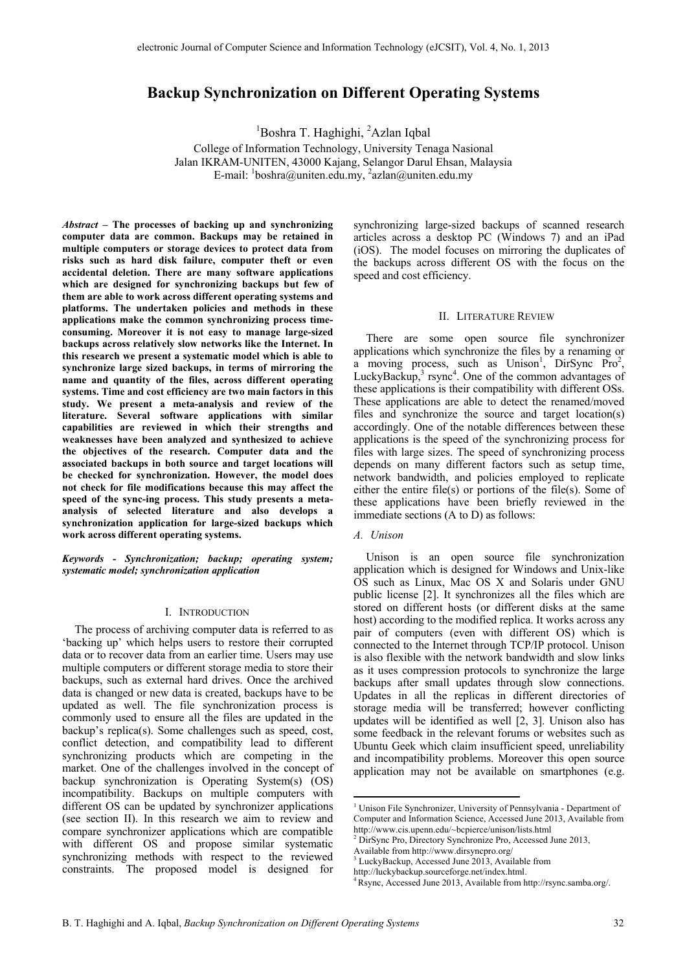# **Backup Synchronization on Different Operating Systems**

<sup>1</sup>Boshra T. Haghighi, <sup>2</sup>Azlan Iqbal

College of Information Technology, University Tenaga Nasional Jalan IKRAM-UNITEN, 43000 Kajang, Selangor Darul Ehsan, Malaysia E-mail:  $\frac{1}{2}$ boshra@uniten.edu.my,  $\frac{2}{2}$ azlan@uniten.edu.my

*Abstract –* **The processes of backing up and synchronizing computer data are common. Backups may be retained in multiple computers or storage devices to protect data from risks such as hard disk failure, computer theft or even accidental deletion. There are many software applications which are designed for synchronizing backups but few of them are able to work across different operating systems and platforms. The undertaken policies and methods in these applications make the common synchronizing process timeconsuming. Moreover it is not easy to manage large-sized backups across relatively slow networks like the Internet. In this research we present a systematic model which is able to synchronize large sized backups, in terms of mirroring the name and quantity of the files, across different operating systems. Time and cost efficiency are two main factors in this study. We present a meta-analysis and review of the literature. Several software applications with similar capabilities are reviewed in which their strengths and weaknesses have been analyzed and synthesized to achieve the objectives of the research. Computer data and the associated backups in both source and target locations will be checked for synchronization. However, the model does not check for file modifications because this may affect the speed of the sync-ing process. This study presents a metaanalysis of selected literature and also develops a synchronization application for large-sized backups which work across different operating systems.** 

*Keywords - Synchronization; backup; operating system; systematic model; synchronization application* 

## I. INTRODUCTION

The process of archiving computer data is referred to as 'backing up' which helps users to restore their corrupted data or to recover data from an earlier time. Users may use multiple computers or different storage media to store their backups, such as external hard drives. Once the archived data is changed or new data is created, backups have to be updated as well. The file synchronization process is commonly used to ensure all the files are updated in the backup's replica(s). Some challenges such as speed, cost, conflict detection, and compatibility lead to different synchronizing products which are competing in the market. One of the challenges involved in the concept of backup synchronization is Operating System(s) (OS) incompatibility. Backups on multiple computers with different OS can be updated by synchronizer applications (see section II). In this research we aim to review and compare synchronizer applications which are compatible with different OS and propose similar systematic synchronizing methods with respect to the reviewed constraints. The proposed model is designed for

synchronizing large-sized backups of scanned research articles across a desktop PC (Windows 7) and an iPad (iOS). The model focuses on mirroring the duplicates of the backups across different OS with the focus on the speed and cost efficiency.

#### II. LITERATURE REVIEW

There are some open source file synchronizer applications which synchronize the files by a renaming or  $a$  moving process, such as Unison<sup>1</sup>, DirSync Pro<sup>2</sup>, LuckyBackup, $3$  rsync<sup>4</sup>. One of the common advantages of these applications is their compatibility with different OSs. These applications are able to detect the renamed/moved files and synchronize the source and target location(s) accordingly. One of the notable differences between these applications is the speed of the synchronizing process for files with large sizes. The speed of synchronizing process depends on many different factors such as setup time, network bandwidth, and policies employed to replicate either the entire file(s) or portions of the file(s). Some of these applications have been briefly reviewed in the immediate sections (A to D) as follows:

### *A. Unison*

Unison is an open source file synchronization application which is designed for Windows and Unix-like OS such as Linux, Mac OS X and Solaris under GNU public license [2]. It synchronizes all the files which are stored on different hosts (or different disks at the same host) according to the modified replica. It works across any pair of computers (even with different OS) which is connected to the Internet through TCP/IP protocol. Unison is also flexible with the network bandwidth and slow links as it uses compression protocols to synchronize the large backups after small updates through slow connections. Updates in all the replicas in different directories of storage media will be transferred; however conflicting updates will be identified as well [2, 3]. Unison also has some feedback in the relevant forums or websites such as Ubuntu Geek which claim insufficient speed, unreliability and incompatibility problems. Moreover this open source application may not be available on smartphones (e.g.

<sup>&</sup>lt;sup>1</sup> Unison File Synchronizer, University of Pennsylvania - Department of Computer and Information Science, Accessed June 2013, Available from http://www.cis.upenn.edu/~bcpierce/unison/lists.html

<sup>2</sup> DirSync Pro, Directory Synchronize Pro, Accessed June 2013, Available from http://www.dirsyncpro.org/

<sup>3</sup> LuckyBackup, Accessed June 2013, Available from

http://luckybackup.sourceforge.net/index.html. 4 Rsync, Accessed June 2013, Available from http://rsync.samba.org/.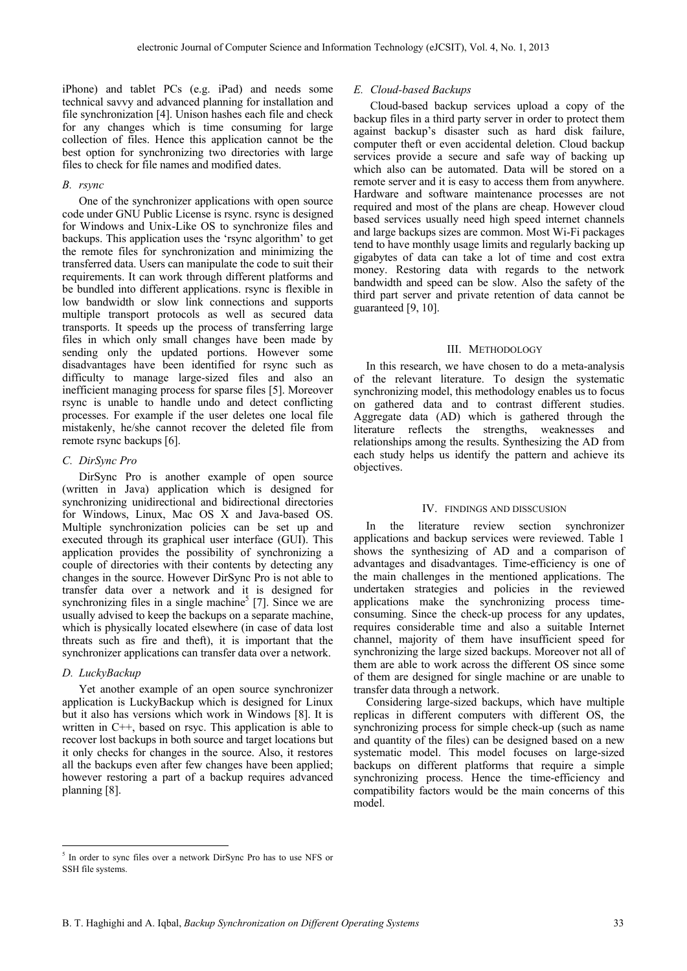iPhone) and tablet PCs (e.g. iPad) and needs some technical savvy and advanced planning for installation and file synchronization [4]. Unison hashes each file and check for any changes which is time consuming for large collection of files. Hence this application cannot be the best option for synchronizing two directories with large files to check for file names and modified dates.

## *B. rsync*

One of the synchronizer applications with open source code under GNU Public License is rsync. rsync is designed for Windows and Unix-Like OS to synchronize files and backups. This application uses the 'rsync algorithm' to get the remote files for synchronization and minimizing the transferred data. Users can manipulate the code to suit their requirements. It can work through different platforms and be bundled into different applications. rsync is flexible in low bandwidth or slow link connections and supports multiple transport protocols as well as secured data transports. It speeds up the process of transferring large files in which only small changes have been made by sending only the updated portions. However some disadvantages have been identified for rsync such as difficulty to manage large-sized files and also an inefficient managing process for sparse files [5]. Moreover rsync is unable to handle undo and detect conflicting processes. For example if the user deletes one local file mistakenly, he/she cannot recover the deleted file from remote rsync backups [6].

# *C. DirSync Pro*

DirSync Pro is another example of open source (written in Java) application which is designed for synchronizing unidirectional and bidirectional directories for Windows, Linux, Mac OS X and Java-based OS. Multiple synchronization policies can be set up and executed through its graphical user interface (GUI). This application provides the possibility of synchronizing a couple of directories with their contents by detecting any changes in the source. However DirSync Pro is not able to transfer data over a network and it is designed for synchronizing files in a single machine<sup>5</sup> [7]. Since we are usually advised to keep the backups on a separate machine, which is physically located elsewhere (in case of data lost threats such as fire and theft), it is important that the synchronizer applications can transfer data over a network.

## *D. LuckyBackup*

Yet another example of an open source synchronizer application is LuckyBackup which is designed for Linux but it also has versions which work in Windows [8]. It is written in C++, based on rsyc. This application is able to recover lost backups in both source and target locations but it only checks for changes in the source. Also, it restores all the backups even after few changes have been applied; however restoring a part of a backup requires advanced planning [8].

## *E. Cloud-based Backups*

Cloud-based backup services upload a copy of the backup files in a third party server in order to protect them against backup's disaster such as hard disk failure, computer theft or even accidental deletion. Cloud backup services provide a secure and safe way of backing up which also can be automated. Data will be stored on a remote server and it is easy to access them from anywhere. Hardware and software maintenance processes are not required and most of the plans are cheap. However cloud based services usually need high speed internet channels and large backups sizes are common. Most Wi-Fi packages tend to have monthly usage limits and regularly backing up gigabytes of data can take a lot of time and cost extra money. Restoring data with regards to the network bandwidth and speed can be slow. Also the safety of the third part server and private retention of data cannot be guaranteed [9, 10].

## III. METHODOLOGY

In this research, we have chosen to do a meta-analysis of the relevant literature. To design the systematic synchronizing model, this methodology enables us to focus on gathered data and to contrast different studies. Aggregate data (AD) which is gathered through the literature reflects the strengths, weaknesses and relationships among the results. Synthesizing the AD from each study helps us identify the pattern and achieve its objectives.

#### IV. FINDINGS AND DISSCUSION

In the literature review section synchronizer applications and backup services were reviewed. Table 1 shows the synthesizing of AD and a comparison of advantages and disadvantages. Time-efficiency is one of the main challenges in the mentioned applications. The undertaken strategies and policies in the reviewed applications make the synchronizing process timeconsuming. Since the check-up process for any updates, requires considerable time and also a suitable Internet channel, majority of them have insufficient speed for synchronizing the large sized backups. Moreover not all of them are able to work across the different OS since some of them are designed for single machine or are unable to transfer data through a network.

Considering large-sized backups, which have multiple replicas in different computers with different OS, the synchronizing process for simple check-up (such as name and quantity of the files) can be designed based on a new systematic model. This model focuses on large-sized backups on different platforms that require a simple synchronizing process. Hence the time-efficiency and compatibility factors would be the main concerns of this model.

 <sup>5</sup> In order to sync files over a network DirSync Pro has to use NFS or SSH file systems.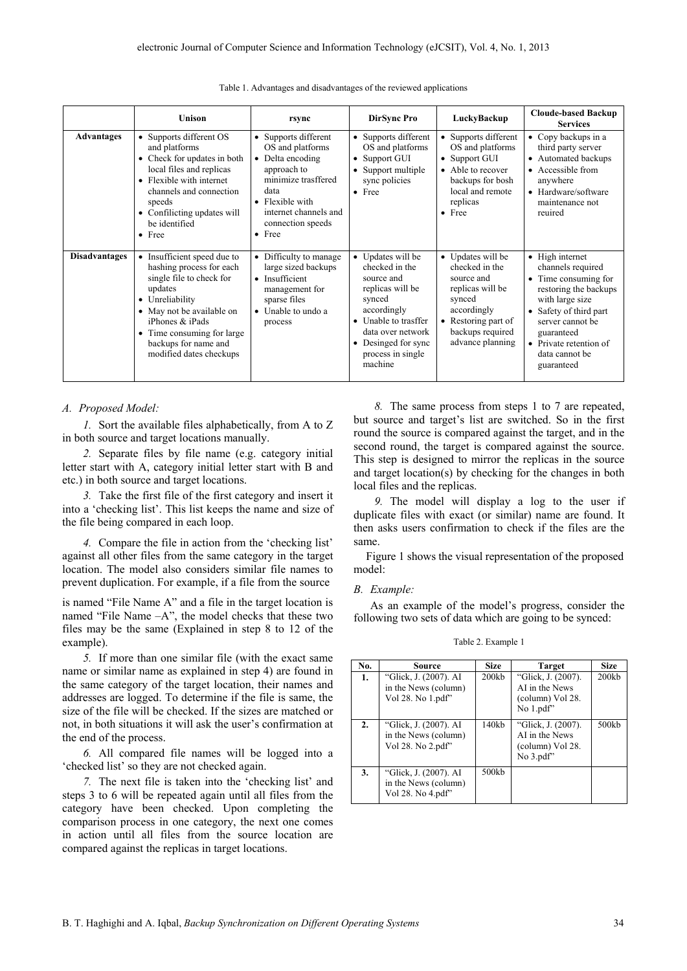|                      | <b>Unison</b>                                                                                                                                                                                                                                      | rsync                                                                                                                                                                                         | <b>DirSync Pro</b>                                                                                                                                                                               | LuckyBackup                                                                                                                                                      | <b>Cloude-based Backup</b><br><b>Services</b>                                                                                                                                                                                  |
|----------------------|----------------------------------------------------------------------------------------------------------------------------------------------------------------------------------------------------------------------------------------------------|-----------------------------------------------------------------------------------------------------------------------------------------------------------------------------------------------|--------------------------------------------------------------------------------------------------------------------------------------------------------------------------------------------------|------------------------------------------------------------------------------------------------------------------------------------------------------------------|--------------------------------------------------------------------------------------------------------------------------------------------------------------------------------------------------------------------------------|
| <b>Advantages</b>    | • Supports different OS<br>and platforms<br>• Check for updates in both<br>local files and replicas<br>• Flexible with internet<br>channels and connection<br>speeds<br>Confilicting updates will<br>$\bullet$<br>be identified<br>$\bullet$ Free  | • Supports different<br>OS and platforms<br>• Delta encoding<br>approach to<br>minimize trasffered<br>data<br>• Flexible with<br>internet channels and<br>connection speeds<br>$\bullet$ Free | • Supports different<br>OS and platforms<br>• Support GUI<br>Support multiple<br>sync policies<br>$\bullet$ Free                                                                                 | • Supports different<br>OS and platforms<br>• Support GUI<br>• Able to recover<br>backups for bosh<br>local and remote<br>replicas<br>$\bullet$ Free             | $\bullet$ Copy backups in a<br>third party server<br>• Automated backups<br>• Accessible from<br>anywhere<br>• Hardware/software<br>maintenance not<br>reuired                                                                 |
| <b>Disadvantages</b> | • Insufficient speed due to<br>hashing process for each<br>single file to check for<br>updates<br>• Unreliability<br>• May not be available on<br>iPhones & iPads<br>• Time consuming for large<br>backups for name and<br>modified dates checkups | • Difficulty to manage<br>large sized backups<br>• Insufficient<br>management for<br>sparse files<br>Unable to undo a<br>$\bullet$<br>process                                                 | • Updates will be<br>checked in the<br>source and<br>replicas will be<br>synced<br>accordingly<br>• Unable to trasffer<br>data over network<br>Desinged for sync<br>process in single<br>machine | • Updates will be<br>checked in the<br>source and<br>replicas will be<br>synced<br>accordingly<br>Restoring part of<br>٠<br>backups required<br>advance planning | • High internet<br>channels required<br>• Time consuming for<br>restoring the backups<br>with large size<br>• Safety of third part<br>server cannot be<br>guaranteed<br>• Private retention of<br>data cannot be<br>guaranteed |

Table 1. Advantages and disadvantages of the reviewed applications

### *A. Proposed Model:*

*1.* Sort the available files alphabetically, from A to Z in both source and target locations manually.

*2.* Separate files by file name (e.g. category initial letter start with A, category initial letter start with B and etc.) in both source and target locations.

*3.* Take the first file of the first category and insert it into a 'checking list'. This list keeps the name and size of the file being compared in each loop.

*4.* Compare the file in action from the 'checking list' against all other files from the same category in the target location. The model also considers similar file names to prevent duplication. For example, if a file from the source

is named "File Name A" and a file in the target location is named "File Name –A", the model checks that these two files may be the same (Explained in step 8 to 12 of the example).

*5.* If more than one similar file (with the exact same name or similar name as explained in step 4) are found in the same category of the target location, their names and addresses are logged. To determine if the file is same, the size of the file will be checked. If the sizes are matched or not, in both situations it will ask the user's confirmation at the end of the process.

*6.* All compared file names will be logged into a 'checked list' so they are not checked again.

*7.* The next file is taken into the 'checking list' and steps 3 to 6 will be repeated again until all files from the category have been checked. Upon completing the comparison process in one category, the next one comes in action until all files from the source location are compared against the replicas in target locations.

*8.* The same process from steps 1 to 7 are repeated, but source and target's list are switched. So in the first round the source is compared against the target, and in the second round, the target is compared against the source. This step is designed to mirror the replicas in the source and target location(s) by checking for the changes in both local files and the replicas.

*9.* The model will display a log to the user if duplicate files with exact (or similar) name are found. It then asks users confirmation to check if the files are the same.

Figure 1 shows the visual representation of the proposed model:

## *B. Example:*

As an example of the model's progress, consider the following two sets of data which are going to be synced:

Table 2. Example 1

| No. | Source                                                             | <b>Size</b> | <b>Target</b>                                                         | <b>Size</b> |
|-----|--------------------------------------------------------------------|-------------|-----------------------------------------------------------------------|-------------|
| 1.  | "Glick, J. (2007). AI<br>in the News (column)<br>Vol 28. No 1.pdf" | 200kb       | "Glick, J. (2007).<br>AI in the News<br>(column) Vol 28.<br>No 1.pdf" | 200kb       |
| 2.  | "Glick, J. (2007). AI<br>in the News (column)<br>Vol 28. No 2.pdf" | 140kh       | "Glick, J. (2007).<br>AI in the News<br>(column) Vol 28.<br>No 3.pdf" | 500kb       |
| 3.  | "Glick, J. (2007). AI<br>in the News (column)<br>Vol 28. No 4.pdf" | 500kb       |                                                                       |             |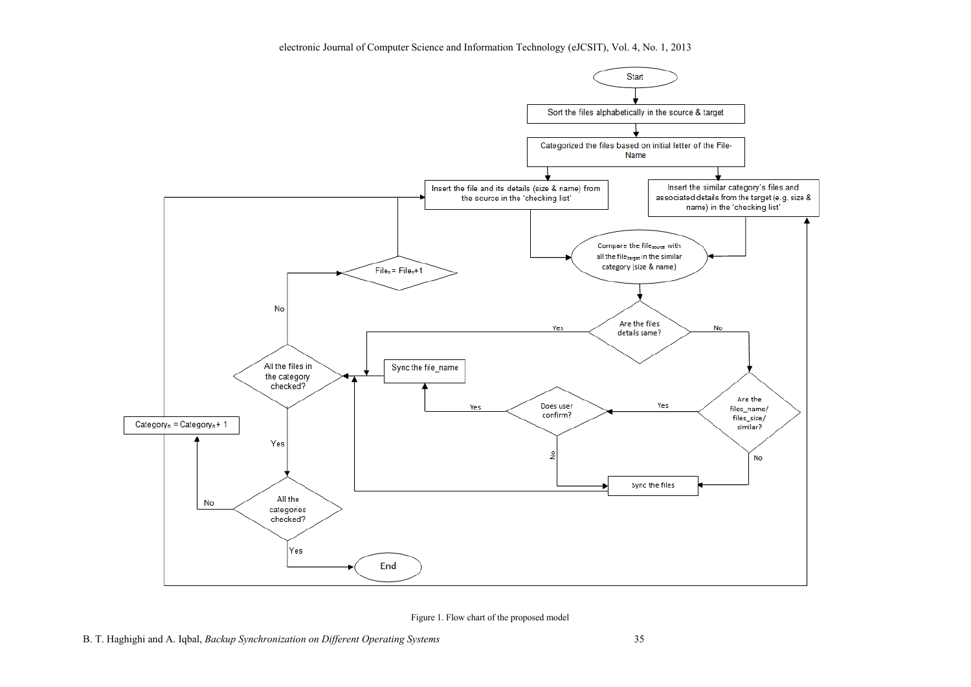

Figure 1. Flow chart of the proposed model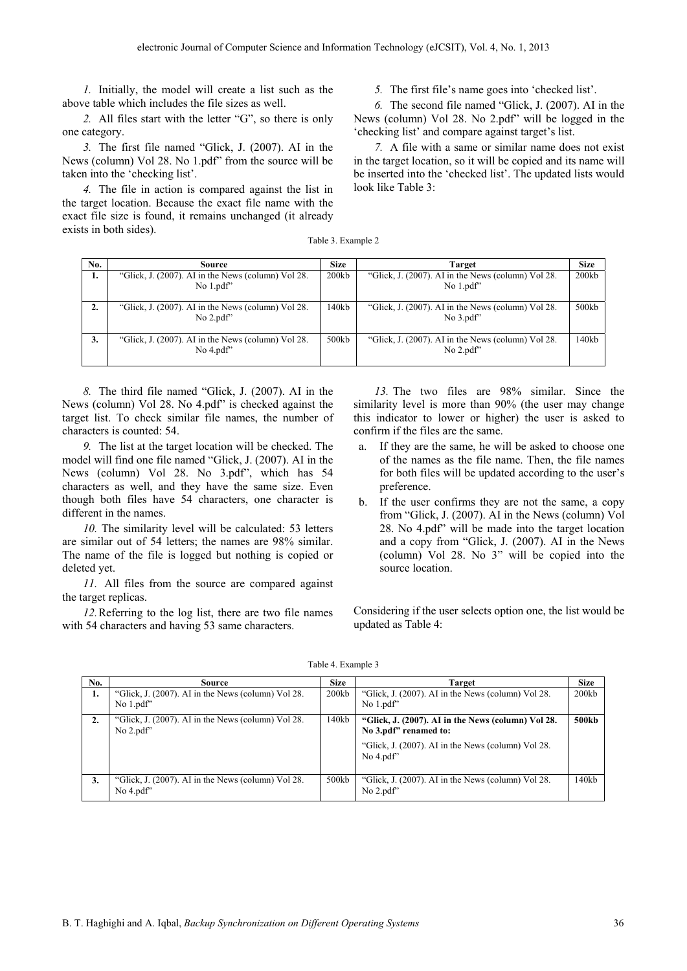*1.* Initially, the model will create a list such as the above table which includes the file sizes as well.

*2.* All files start with the letter "G", so there is only one category.

*3.* The first file named "Glick, J. (2007). AI in the News (column) Vol 28. No 1.pdf" from the source will be taken into the 'checking list'.

*4.* The file in action is compared against the list in the target location. Because the exact file name with the exact file size is found, it remains unchanged (it already exists in both sides).

*5.* The first file's name goes into 'checked list'.

*6.* The second file named "Glick, J. (2007). AI in the News (column) Vol 28. No 2.pdf" will be logged in the 'checking list' and compare against target's list.

*7.* A file with a same or similar name does not exist in the target location, so it will be copied and its name will be inserted into the 'checked list'. The updated lists would look like Table 3:

Table 3. Example 2

| No. | Source                                                           | <b>Size</b> | Target                                                           | <b>Size</b> |
|-----|------------------------------------------------------------------|-------------|------------------------------------------------------------------|-------------|
| 1.  | "Glick, J. (2007). AI in the News (column) Vol 28.<br>No $1.pdf$ | 200kb       | "Glick, J. (2007). AI in the News (column) Vol 28.<br>No $1.pdf$ | 200kb       |
| 2.  | "Glick, J. (2007). AI in the News (column) Vol 28.<br>No $2.pdf$ | 140kb       | "Glick, J. (2007). AI in the News (column) Vol 28.<br>No $3.pdf$ | 500kb       |
| 3.  | "Glick, J. (2007). AI in the News (column) Vol 28.<br>No $4.pdf$ | 500kb       | "Glick, J. (2007). AI in the News (column) Vol 28.<br>No $2.pdf$ | 140kb       |

*8.* The third file named "Glick, J. (2007). AI in the News (column) Vol 28. No 4.pdf" is checked against the target list. To check similar file names, the number of characters is counted: 54.

*9.* The list at the target location will be checked. The model will find one file named "Glick, J. (2007). AI in the News (column) Vol 28. No 3.pdf", which has 54 characters as well, and they have the same size. Even though both files have 54 characters, one character is different in the names.

*10.* The similarity level will be calculated: 53 letters are similar out of 54 letters; the names are 98% similar. The name of the file is logged but nothing is copied or deleted yet.

*11.* All files from the source are compared against the target replicas.

*12.*Referring to the log list, there are two file names with 54 characters and having 53 same characters.

*13.* The two files are 98% similar. Since the similarity level is more than 90% (the user may change this indicator to lower or higher) the user is asked to confirm if the files are the same.

- a. If they are the same, he will be asked to choose one of the names as the file name. Then, the file names for both files will be updated according to the user's preference.
- b. If the user confirms they are not the same, a copy from "Glick, J. (2007). AI in the News (column) Vol 28. No 4.pdf" will be made into the target location and a copy from "Glick, J. (2007). AI in the News (column) Vol 28. No 3" will be copied into the source location.

Considering if the user selects option one, the list would be updated as Table 4:

| No.              | Source                                                           | <b>Size</b> | Target                                                                                                                                          | <b>Size</b> |
|------------------|------------------------------------------------------------------|-------------|-------------------------------------------------------------------------------------------------------------------------------------------------|-------------|
| 1.               | "Glick, J. (2007). AI in the News (column) Vol 28.<br>No $1.pdf$ | 200kb       | "Glick, J. (2007). AI in the News (column) Vol 28.<br>No $1.pdf$                                                                                | 200kb       |
| $\overline{2}$ . | "Glick, J. (2007). AI in the News (column) Vol 28.<br>No $2.pdf$ | 140kb       | "Glick, J. (2007). AI in the News (column) Vol 28.<br>No 3.pdf" renamed to:<br>"Glick, J. (2007). AI in the News (column) Vol 28.<br>No $4.pdf$ | 500kb       |
| 3.               | "Glick, J. (2007). AI in the News (column) Vol 28.<br>No $4.pdf$ | 500kb       | "Glick, J. (2007). AI in the News (column) Vol 28.<br>No $2.pdf$                                                                                | 140kb       |

Table 4. Example 3